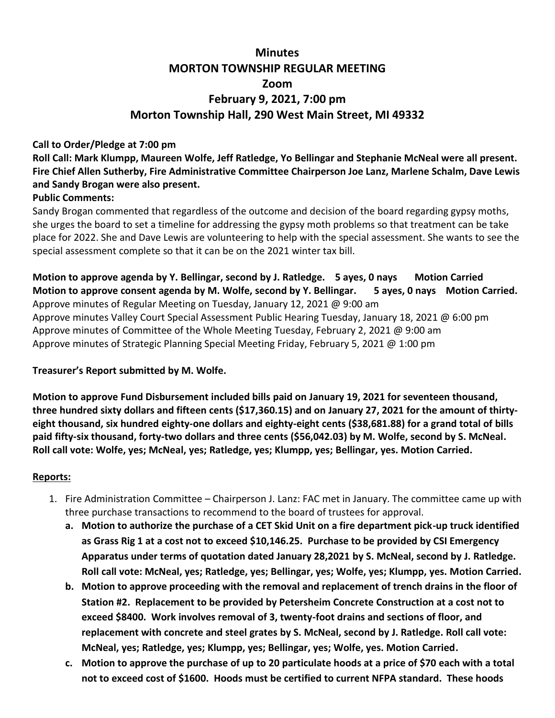# **Minutes MORTON TOWNSHIP REGULAR MEETING Zoom February 9, 2021, 7:00 pm Morton Township Hall, 290 West Main Street, MI 49332**

#### **Call to Order/Pledge at 7:00 pm**

**Roll Call: Mark Klumpp, Maureen Wolfe, Jeff Ratledge, Yo Bellingar and Stephanie McNeal were all present. Fire Chief Allen Sutherby, Fire Administrative Committee Chairperson Joe Lanz, Marlene Schalm, Dave Lewis and Sandy Brogan were also present.** 

#### **Public Comments:**

Sandy Brogan commented that regardless of the outcome and decision of the board regarding gypsy moths, she urges the board to set a timeline for addressing the gypsy moth problems so that treatment can be take place for 2022. She and Dave Lewis are volunteering to help with the special assessment. She wants to see the special assessment complete so that it can be on the 2021 winter tax bill.

**Motion to approve agenda by Y. Bellingar, second by J. Ratledge. 5 ayes, 0 nays Motion Carried Motion to approve consent agenda by M. Wolfe, second by Y. Bellingar. 5 ayes, 0 nays Motion Carried.** Approve minutes of Regular Meeting on Tuesday, January 12, 2021 @ 9:00 am Approve minutes Valley Court Special Assessment Public Hearing Tuesday, January 18, 2021 @ 6:00 pm Approve minutes of Committee of the Whole Meeting Tuesday, February 2, 2021  $\omega$  9:00 am Approve minutes of Strategic Planning Special Meeting Friday, February 5, 2021 @ 1:00 pm

## **Treasurer's Report submitted by M. Wolfe.**

**Motion to approve Fund Disbursement included bills paid on January 19, 2021 for seventeen thousand, three hundred sixty dollars and fifteen cents (\$17,360.15) and on January 27, 2021 for the amount of thirtyeight thousand, six hundred eighty-one dollars and eighty-eight cents (\$38,681.88) for a grand total of bills paid fifty-six thousand, forty-two dollars and three cents (\$56,042.03) by M. Wolfe, second by S. McNeal. Roll call vote: Wolfe, yes; McNeal, yes; Ratledge, yes; Klumpp, yes; Bellingar, yes. Motion Carried.**

## **Reports:**

- 1. Fire Administration Committee Chairperson J. Lanz: FAC met in January. The committee came up with three purchase transactions to recommend to the board of trustees for approval.
	- **a. Motion to authorize the purchase of a CET Skid Unit on a fire department pick-up truck identified as Grass Rig 1 at a cost not to exceed \$10,146.25. Purchase to be provided by CSI Emergency Apparatus under terms of quotation dated January 28,2021 by S. McNeal, second by J. Ratledge. Roll call vote: McNeal, yes; Ratledge, yes; Bellingar, yes; Wolfe, yes; Klumpp, yes. Motion Carried.**
	- **b. Motion to approve proceeding with the removal and replacement of trench drains in the floor of Station #2. Replacement to be provided by Petersheim Concrete Construction at a cost not to exceed \$8400. Work involves removal of 3, twenty-foot drains and sections of floor, and replacement with concrete and steel grates by S. McNeal, second by J. Ratledge. Roll call vote: McNeal, yes; Ratledge, yes; Klumpp, yes; Bellingar, yes; Wolfe, yes. Motion Carried.**
	- **c. Motion to approve the purchase of up to 20 particulate hoods at a price of \$70 each with a total not to exceed cost of \$1600. Hoods must be certified to current NFPA standard. These hoods**